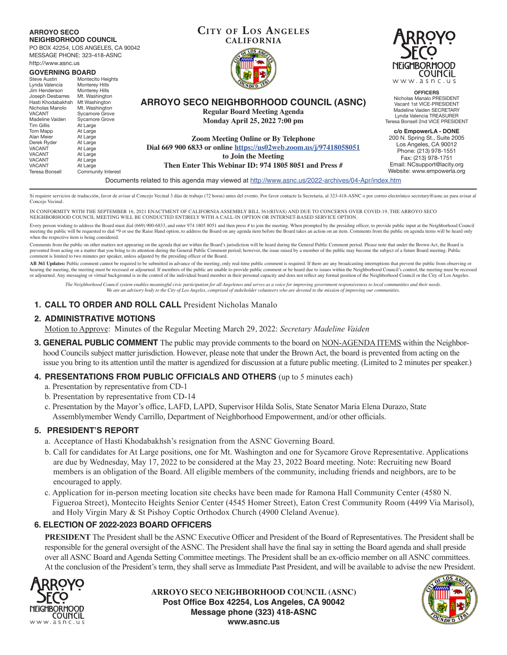# **ARROYO SECO NEIGHBORHOOD COUNCIL**

PO BOX 42254, LOS ANGELES, CA 90042 MESSAGE PHONE: 323-418-ASNC http://www.asnc.us

| http://www.ashc.us                    |                                     |                                                                                                  | NEig               |
|---------------------------------------|-------------------------------------|--------------------------------------------------------------------------------------------------|--------------------|
| <b>GOVERNING BOARD</b>                |                                     |                                                                                                  |                    |
| Steve Austin<br>Lynda Valencia        | Montecito Heights<br>Monterey Hills |                                                                                                  | W W                |
| Jim Henderson                         | Monterey Hills                      |                                                                                                  |                    |
| Joseph Desbarres<br>Hasti Khodabakhsh | Mt. Washington<br>Mt Washington     | <b>ARROYO SECO NEIGHBORHOOD COUNCIL (ASNC)</b>                                                   | Nichol<br>Vacan    |
| Nicholas Manolo<br><b>VACANT</b>      | Mt. Washington                      | <b>Regular Board Meeting Agenda</b>                                                              | Madel              |
| Madeline Vaiden                       | Sycamore Grove<br>Sycamore Grove    | <b>Monday April 25, 2022 7:00 pm</b>                                                             | Lynda<br>Teresa Bo |
| Tim Gillis                            | At Large                            |                                                                                                  | c/o E              |
| Tom Mapp<br>Alan Meier<br>Derek Ryder | At Large<br>At Large<br>At Large    | <b>Zoom Meeting Online or By Telephone</b>                                                       | 200 N.<br>Los .    |
| <b>VACANT</b>                         | At Large                            | Dial 669 900 6833 or online https://us02web.zoom.us/j/97418058051                                | Pho                |
| <b>VACANT</b><br><b>VACANT</b>        | At Large<br>At Large                | to Join the Meeting                                                                              | Fa                 |
| <b>VACANT</b><br>Teresa Bonsell       | At Large<br>Community Interest      | Then Enter This Webinar ID: 974 1805 8051 and Press #                                            | Email:<br>Website  |
|                                       |                                     | Documents related to this agenda may viewed at http://www.asnc.us/2022-archives/04-Apr/index.htm |                    |

Si requiere servicios de traducción, favor de avisar al Concejo Vecinal 3 días de trabajo (72 horas) antes del evento. Por favor contacte la Secretaria, al 323-418-ASNC o por correo electrónico secretary@asnc.us para avisa Concejo Vecinal.

**CITY OF LOS ANGELES CALIFORNIA**

IN CONFORMITY WITH THE SEPTEMBER 16, 2021 ENACTMENT OF CALIFORNIA ASSEMBLY BILL 361(RIVAS) AND DUE TO CONCERNS OVER COVID-19, THE ARROYO SECO NEIGHBORHOOD COUNCIL MEETING WILL BE CONDUCTED ENTIRELY WITH A CALL-IN OPTION OR INTERNET-BASED SERVICE OPTION.

Every person wishing to address the Board must dial (669) 900-6833, and enter 974 1805 8051 and then press # to join the meeting. When prompted by the presiding officer, to provide public input at the Neighborhood Council meeting the public will be requested to dial \*9 or use the Raise Hand option, to address the Board on any agenda item before the Board takes an action on an item. Comments from the public on agenda items will be heard only when the respective item is being considered.

Comments from the public on other matters not appearing on the agenda that are within the Board's jurisdiction will be heard during the General Public Comment period. Please note that under the Brown Act, the Board is prevented from acting on a matter that you bring to its attention during the General Public Comment period; however, the issue raised by a member of the public may become the subject of a future Board meeting. Public comment is limited to two minutes per speaker, unless adjusted by the presiding officer of the Board.

AB 361 Updates: Public comment cannot be required to be submitted in advance of the meeting, only real-time public comment is required. If there are any broadcasting interruptions that prevent the public from observing or hearing the meeting, the meeting must be recessed or adjourned. If members of the public are unable to provide public comment or be heard due to issues within the Neighborhood Council's control, the meeting must be recesse or adjourned. Any messaging or virtual background is in the control of the individual board member in their personal capacity and does not reflect any formal position of the Neighborhood Council or the City of Los Angeles.

*The Neighborhood Council system enables meaningful civic participation for all Angelenos and serves as a voice for improving government responsiveness to local communities and their needs. We are an advisory body to the City of Los Angeles, comprised of stakeholder volunteers who are devoted to the mission of improving our communities.*

# **1. CALL TO ORDER AND ROLL CALL** President Nicholas Manalo

## **2. ADMINISTRATIVE MOTIONS**

Motion to Approve: Minutes of the Regular Meeting March 29, 2022: *Secretary Madeline Vaiden*

**3. GENERAL PUBLIC COMMENT** The public may provide comments to the board on NON-AGENDA ITEMS within the Neighborhood Councils subject matter jurisdiction. However, please note that under the Brown Act, the board is prevented from acting on the issue you bring to its attention until the matter is agendized for discussion at a future public meeting. (Limited to 2 minutes per speaker.)

## **4. PRESENTATIONS FROM PUBLIC OFFICIALS AND OTHERS** (up to 5 minutes each)

- a. Presentation by representative from CD-1
- b. Presentation by representative from CD-14
- c. Presentation by the Mayor's office, LAFD, LAPD, Supervisor Hilda Solis, State Senator Maria Elena Durazo, State Assemblymember Wendy Carrillo, Department of Neighborhood Empowerment, and/or other officials.

## **5. PRESIDENT'S REPORT**

- a. Acceptance of Hasti Khodabakhsh's resignation from the ASNC Governing Board.
- b. Call for candidates for At Large positions, one for Mt. Washington and one for Sycamore Grove Representative. Applications are due by Wednesday, May 17, 2022 to be considered at the May 23, 2022 Board meeting. Note: Recruiting new Board members is an obligation of the Board. All eligible members of the community, including friends and neighbors, are to be encouraged to apply.

c. Application for in-person meeting location site checks have been made for Ramona Hall Community Center (4580 N. Figueroa Street), Montecito Heights Senior Center (4545 Homer Street), Eaton Crest Community Room (4499 Via Marisol), and Holy Virgin Mary & St Pishoy Coptic Orthodox Church (4900 Cleland Avenue).

## **6. ELECTION OF 2022-2023 BOARD OFFICERS**

**PRESIDENT** The President shall be the ASNC Executive Officer and President of the Board of Representatives. The President shall be responsible for the general oversight of the ASNC. The President shall have the final say in setting the Board agenda and shall preside over all ASNC Board and Agenda Setting Committee meetings. The President shall be an ex-officio member on all ASNC committees. At the conclusion of the President's term, they shall serve as Immediate Past President, and will be available to advise the new President.



**ARROYO SECO NEIGHBORHOOD COUNCIL (ASNC) Post Office Box 42254, Los Angeles, CA 90042 Message phone (323) 418-ASNC www.asnc.us**





**OFFICERS** las Manalo PRESIDENT t 1st VICE-PRESIDENT ine Vaiden SECRETARY Valencia TREASURER nsell 2nd VICE PRESIDENT

**c/o EmpowerLA - DONE** Spring St., Suite 2005 Angeles, CA 90012 ne: (213) 978-1551 Fax: (213) 978-1751 NCsupport@lacity.org e: www.empowerla.org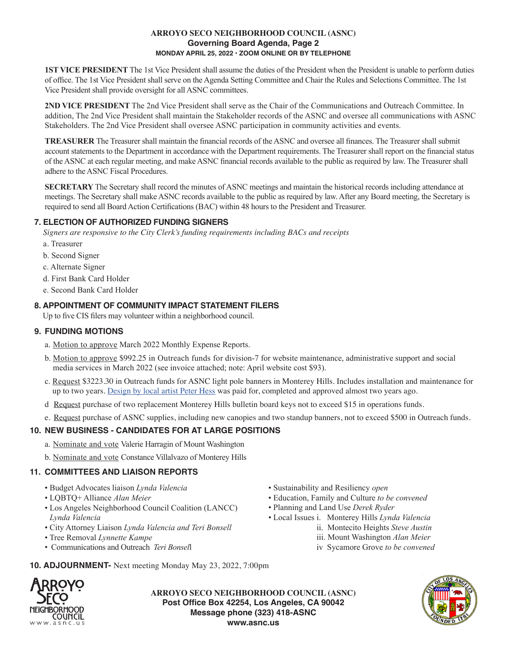#### **ARROYO SECO NEIGHBORHOOD COUNCIL (ASNC) Governing Board Agenda, Page 2 MONDAY APRIL 25, 2022 • ZOOM ONLINE OR BY TELEPHONE**

**1ST VICE PRESIDENT** The 1st Vice President shall assume the duties of the President when the President is unable to perform duties of office. The 1st Vice President shall serve on the Agenda Setting Committee and Chair the Rules and Selections Committee. The 1st Vice President shall provide oversight for all ASNC committees.

 **2ND VICE PRESIDENT** The 2nd Vice President shall serve as the Chair of the Communications and Outreach Committee. In addition, The 2nd Vice President shall maintain the Stakeholder records of the ASNC and oversee all communications with ASNC Stakeholders. The 2nd Vice President shall oversee ASNC participation in community activities and events.

 **TREASURER** The Treasurer shall maintain the financial records of the ASNC and oversee all finances. The Treasurer shall submit account statements to the Department in accordance with the Department requirements. The Treasurer shall report on the financial status of the ASNC at each regular meeting, and make ASNC financial records available to the public as required by law. The Treasurer shall adhere to the ASNC Fiscal Procedures.

 **SECRETARY** The Secretary shall record the minutes of ASNC meetings and maintain the historical records including attendance at meetings. The Secretary shall make ASNC records available to the public as required by law. After any Board meeting, the Secretary is required to send all Board Action Certifications (BAC) within 48 hours to the President and Treasurer.

# **7. ELECTION OF AUTHORIZED FUNDING SIGNERS**

*Signers are responsive to the City Clerk's funding requirements including BACs and receipts*

- a. Treasurer
- b. Second Signer
- c. Alternate Signer
- d. First Bank Card Holder
- e. Second Bank Card Holder

# **8. APPOINTMENT OF COMMUNITY IMPACT STATEMENT FILERS**

Up to five CIS filers may volunteer within a neighborhood council.

## **9. FUNDING MOTIONS**

- a. Motion to approve March 2022 Monthly Expense Reports.
- b. Motion to approve \$992.25 in Outreach funds for division-7 for website maintenance, administrative support and social media services in March 2022 (see invoice attached; note: April website cost \$93).
- c. Request \$3223.30 in Outreach funds for ASNC light pole banners in Monterey Hills. Includes installation and maintenance for up to two years. Design by local artist Peter Hess was paid for, completed and approved almost two years ago.
- d Request purchase of two replacement Monterey Hills bulletin board keys not to exceed \$15 in operations funds.
- e. Request purchase of ASNC supplies, including new canopies and two standup banners, not to exceed \$500 in Outreach funds.

# **10. NEW BUSINESS - CANDIDATES FOR AT LARGE POSITIONS**

- a. Nominate and vote Valerie Harragin of Mount Washington
- b. Nominate and vote Constance Villalvazo of Monterey Hills

# **11. COMMITTEES AND LIAISON REPORTS**

- Budget Advocates liaison *Lynda Valencia*
- LQBTQ+ Alliance *Alan Meier*
- Los Angeles Neighborhood Council Coalition (LANCC) *Lynda Valencia*
- City Attorney Liaison *Lynda Valencia and Teri Bonsell*
- Tree Removal *Lynnette Kampe*
- Communications and Outreach *Teri Bonsel*l
- Sustainability and Resiliency *open*
- Education, Family and Culture *to be convened*
- Planning and Land Use *Derek Ryder*
- Local Issues i. Monterey Hills *Lynda Valencia*
	- ii. Montecito Heights *Steve Austin*
		- iii. Mount Washington *Alan Meier*
		- iv Sycamore Grove *to be convened*

**10. ADJOURNMENT-** Next meeting Monday May 23, 2022, 7:00pm



**ARROYO SECO NEIGHBORHOOD COUNCIL (ASNC) Post Office Box 42254, Los Angeles, CA 90042 Message phone (323) 418-ASNC www.asnc.us**